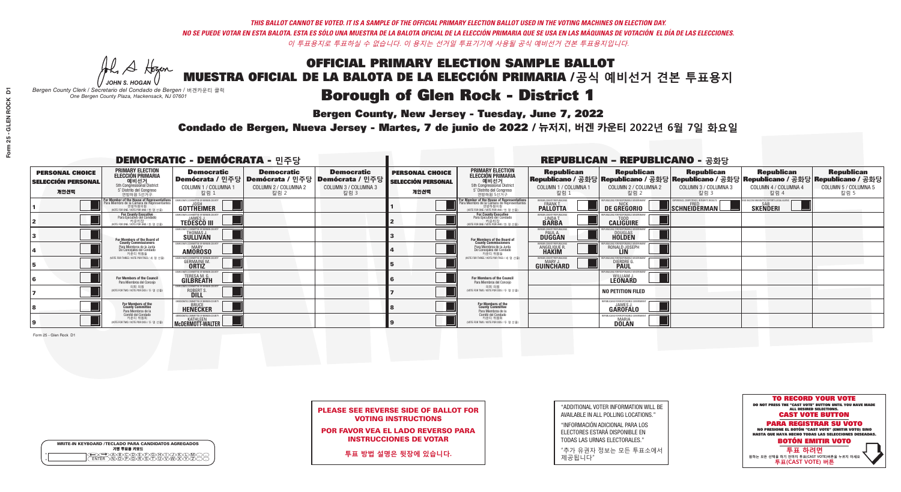**Bergen County, New Jersey - Tuesday, June 7, 2022** 

A Hogan *JOHN S. HOGAN*

| <b>WRITE-IN KEYBOARD /TECLADO PARA CANDIDATOS AGREGADOS</b><br>기명 투표용 키보드 |  |
|---------------------------------------------------------------------------|--|
| )(B)(C)(D)(E)(F)(G)(H)(<br><u>አቅአሚያ ፈ</u> ን                               |  |

*Bergen County Clerk / Secretario del Condado de Bergen /* 버겐카운티 클럭 *One Bergen County Plaza, Hackensack, NJ 07601*



PLEASE SEE REVERSE SIDE OF BALLOT FOR VOTING INSTRUCTIONS

POR FAVOR VEA EL LADO REVERSO PARA INSTRUCCIONES DE VOTAR

**투표 방법 설명은 뒷장에 있습니다.**

"ADDITIONAL VOTER INFORMATION WILL BE AVAILABLE IN ALL POLLING LOCATIONS."

"INFORMACIÓN ADICIONAL PARA LOS ELECTORES ESTARÁ DISPONIBLE EN TODAS LAS URNAS ELECTORALES."

"추가 유권자 정보는 모든 투표소에서 제공됩니다"

Condado de Bergen, Nueva Jersey - Martes, 7 de junio de 2022 / 뉴저지, 버겐 카운티 2022년 6월 7일 화요일 *One Bergen County Plaza, Hackensack, NJ 07601*

|                                                             |                                                                                                                                             | <b>DEMOCRATIC - DEMÓCRATA - 민주당</b>                                               |                                                   |                                                                                               | <b>REPUBLICAN - REPUBLICANO - 공화당</b>                       |                                                                                                                                               |                                                               |                                                                    |                                                         |                                                                                                                                                |                                                   |
|-------------------------------------------------------------|---------------------------------------------------------------------------------------------------------------------------------------------|-----------------------------------------------------------------------------------|---------------------------------------------------|-----------------------------------------------------------------------------------------------|-------------------------------------------------------------|-----------------------------------------------------------------------------------------------------------------------------------------------|---------------------------------------------------------------|--------------------------------------------------------------------|---------------------------------------------------------|------------------------------------------------------------------------------------------------------------------------------------------------|---------------------------------------------------|
| <b>PERSONAL CHOICE</b><br><b>SELECCIÓN PERSONAL</b><br>개인선택 | <b>PRIMARY ELECTION</b><br><b>ELECCIÓN PRIMARIA</b><br>예비선거<br>5th Congressional District<br>5° Distrito del Congreso<br>연방하원 5선거구          | <b>Democratic</b><br>│Demócrata / 민주당<br>COLUMN 1 / COLUMNA 1<br>칼럼 :             | <b>Democratic</b><br>COLUMN 2 / COLUMNA 2<br>칼럼 2 | <b>Democratic</b><br><b>Demócrata / 민주당 Demócrata / 민주당  </b><br>COLUMN 3 / COLUMNA 3<br>칼럼 3 | <b>PERSONAL CHOICE</b><br><b>SELECCIÓN PERSONAL</b><br>개인선택 | <b>PRIMARY ELECTION</b><br>ELECCIÓN PRIMARIA<br>예비선거<br>5th Congressional District<br>5° Distrito del Congreso<br>연방하원 5선거구                   | <b>Republican</b><br>COLUMN 1 / COLUMNA 1<br>칼럼 :             | <b>Republican</b><br>COLUMN 2 / COLUMNA 2<br>칼럼 2                  | <b>Republican</b><br>COLUMN 3 / COLUMNA 3<br>칼럼 3       | <b>Republican</b><br>Republicano / 공화당 Republicano / 공화당 Republicano / 공화당 Republicano / 공화당 Republicano / 공화당<br>COLUMN 4 / COLUMNA 4<br>칼럼 4 | <b>Republican</b><br>COLUMN 5 / COLUMNA 5<br>칼럼 5 |
|                                                             | or Member of the House of Representatives<br>ara Miembro de la Cámara de Representantes<br>연방하원의원<br>(VOTE FOR ONE / VOTE POR UNO / 한 명 선출) | DEMOCRATIC COMMITTEE OF BERGEN COUNTY<br>JOSH<br><b>GOTTHEIMER</b>                |                                                   |                                                                                               |                                                             | For Member of the House of Representatives<br>Para Miembro de la Cámara de Representantes<br>연방하원의원<br>(VOTE FOR ONE / VOTE POR UNO / 한 명 선출) | ERGEN COUNTY REPUBLICAN<br><b>FRANK T.</b><br><b>PALLOTTA</b> | DE GREGORIO                                                        | ERIENCE. COMPETENCE. INTEGRITY. RESULTS<br>SCHNEIDERMAN | ) VACCINE MANDATES, DEPORT ILLEGAL ALIENS.<br><b>SKENDERI</b>                                                                                  |                                                   |
|                                                             | <b>For County Executive</b><br>Para Ejecutivo del Condado<br>(VOTE FOR ONE / VOTE POR UNO / 한 명 선출)                                         | EMOCRATIC COMMITTEE OF BERGEN COUNTY<br><b>TEDESCO III</b>                        |                                                   |                                                                                               |                                                             | For County Executive<br>Para Ejecutivo del Condado<br>카운티장<br>(VOTE FOR ONE / VOTE POR UNO / 한 명 선출)                                          | BERGEN COUNTY REPUBLICAN<br>LINDA T.                          | <b>CALIGUIRE</b>                                                   |                                                         |                                                                                                                                                |                                                   |
|                                                             | For Members of the Board of<br>County Commissioners                                                                                         | <i><b>MOCRATIC COMMITTEE OF BERGEN COUNT</b></i><br>THOMAS J.                     |                                                   |                                                                                               |                                                             | For Members of the Board of<br>County Commissioners                                                                                           | ERGEN COUNTY REPUBLICAN<br><b>PAUL A.</b><br><b>DUGGAN</b>    | <b>DOUGLAS</b>                                                     |                                                         |                                                                                                                                                |                                                   |
|                                                             | Para Miembros de la Junta<br>De Concejales del Condado<br>카운티 위원들                                                                           | MOCRATIC COMMITTEE OF BERGEN COUNTY<br><b>AMOROSO</b>                             |                                                   |                                                                                               |                                                             | Para Miembros de la Junta<br>De Concejales del Condado<br>카우티 위원들                                                                             | ERGEN COUNTY REPUBLICAN<br>ANGELIQUE R                        | RONALD JOSEPH                                                      |                                                         |                                                                                                                                                |                                                   |
|                                                             | NOTE FOR THREE / VOTE POR TRES / 세 명 선출)                                                                                                    | RATIC COMMITTEE OF BERGEN COUN<br><b>GERMAINE M.</b>                              |                                                   |                                                                                               |                                                             | NOTE FOR THREE / VOTE POR TRES / 세 명 선출!                                                                                                      | ERGEN COUNTY REPUBLICANS<br>MARY J<br>GUINCHARD               | FOR RESPONSIBLE (<br><b>DIERDRE</b>                                |                                                         |                                                                                                                                                |                                                   |
|                                                             | For Members of the Council<br>Para Miembros del Conceio                                                                                     | <b>MOCRATIC COMMITTEE OF BERGEN CO</b><br><b>TERESA M. G.</b><br><b>GILBREATH</b> |                                                   |                                                                                               |                                                             | <b>For Members of the Council</b><br>Para Miembros del Conceio                                                                                |                                                               | <b>UBLICANS FOR RESPONSIBLE GO</b><br>WILLIAM J.<br><b>LEONARD</b> |                                                         |                                                                                                                                                |                                                   |
|                                                             | 의회 의원<br>(VOTE FOR TWO / VOTE POR DOS / 두 명 선출)                                                                                             | MOCRATIC COMMITTEE OF BERGEN COUNTY<br>ROBERT S                                   |                                                   |                                                                                               |                                                             | 의회 의원<br>NOTE FOR TWO / VOTE POR DOS / 두 명 선출)                                                                                                |                                                               | <b>NO PETITION FILED</b>                                           |                                                         |                                                                                                                                                |                                                   |
|                                                             | For Members of the<br>County Committee<br>Para Miembros de la                                                                               | EMOCRATIC COMMITTEE OF BERG<br><b>HENECKER</b>                                    |                                                   |                                                                                               |                                                             | For Members of the<br>County Committee<br>Para Miembros de la<br>Comité del Condado                                                           |                                                               | EPUBLICANS FOR RESPONSIBLE GOVERNM<br><b>GAROFALO</b>              |                                                         |                                                                                                                                                |                                                   |
|                                                             | Comité del Condado<br>카운티 위원회<br>(VOTE FOR TWO / VOTE POR DOS / 두 명 선출)                                                                     | <b>MCDERMOTT-WALTER</b>                                                           |                                                   |                                                                                               |                                                             | 카운티 위원회<br>(VOTE FOR TWO / VOTE POR DOS / 두 명 선출)                                                                                             |                                                               | REPUBLICANS FOR RESPONSIBLE<br><b>DOLAN</b>                        |                                                         |                                                                                                                                                |                                                   |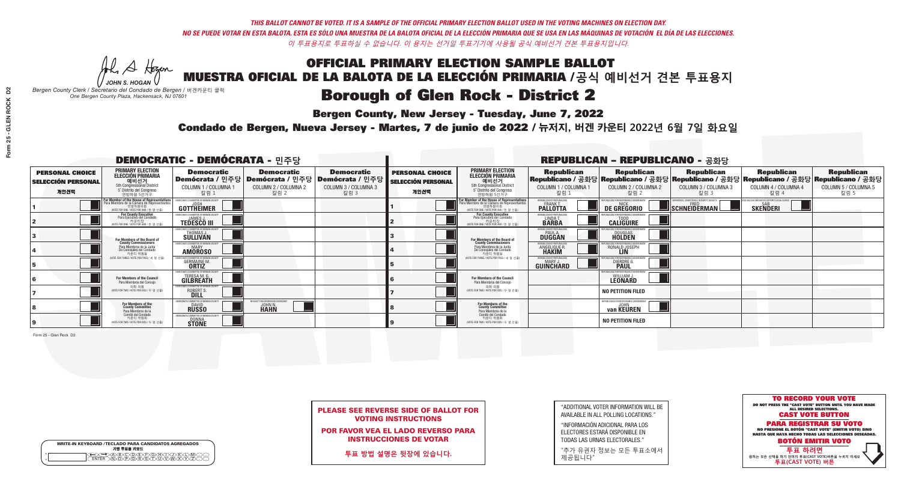**Bergen County, New Jersey - Tuesday, June 7, 2022** 

A Hogen *JOHN S. HOGAN*

| <b>WRITE-IN KEYBOARD /TECLADO PARA CANDIDATOS AGREGADOS</b><br>기명 투표용 키보드 |  |
|---------------------------------------------------------------------------|--|
| ABODE FRAM<br>∧∩∩                                                         |  |

*Bergen County Clerk / Secretario del Condado de Bergen /* 버겐카운티 클럭 *One Bergen County Plaza, Hackensack, NJ 07601*

Condado de Bergen, Nueva Jersey - Martes, 7 de junio de 2022 / 뉴저지, 버겐 카운티 2022년 6월 7일 화요일 *One Bergen County Plaza, Hackensack, NJ 07601*



PLEASE SEE REVERSE SIDE OF BALLOT FOR VOTING INSTRUCTIONS

POR FAVOR VEA EL LADO REVERSO PARA INSTRUCCIONES DE VOTAR

**투표 방법 설명은 뒷장에 있습니다.**

"ADDITIONAL VOTER INFORMATION WILL BE AVAILABLE IN ALL POLLING LOCATIONS."

"INFORMACIÓN ADICIONAL PARA LOS ELECTORES ESTARÁ DISPONIBLE EN TODAS LAS URNAS ELECTORALES."

"추가 유권자 정보는 모든 투표소에서 제공됩니다"

|                                                             |                                                                                                                                               | <b>DEMOCRATIC - DEMÓCRATA - 민주당</b>                                             |                                                                                       |                                                                         |                                                             | <b>REPUBLICAN - REPUBLICANO - 공화당</b>                                                                                             |                                                            |                                                                                                                                                |                                                    |                                                           |                                                   |  |
|-------------------------------------------------------------|-----------------------------------------------------------------------------------------------------------------------------------------------|---------------------------------------------------------------------------------|---------------------------------------------------------------------------------------|-------------------------------------------------------------------------|-------------------------------------------------------------|-----------------------------------------------------------------------------------------------------------------------------------|------------------------------------------------------------|------------------------------------------------------------------------------------------------------------------------------------------------|----------------------------------------------------|-----------------------------------------------------------|---------------------------------------------------|--|
| <b>PERSONAL CHOICE</b><br><b>SELECCIÓN PERSONAL</b><br>개인선택 | <b>PRIMARY ELECTION</b><br><b>ELECCIÓN PRIMARIA</b><br>예비선거<br>5th Congressional District<br>5° Distrito del Congreso<br>연방하원 5선거구            | <b>Democratic</b><br>COLUMN 1 / COLUMNA 1<br>칼럼 1                               | <b>Democratic</b><br>│Demócrata / 민주당│Demócrata / 민주당<br>COLUMN 2 / COLUMNA 2<br>칼럼 2 | <b>Democratic</b><br>ː│Demócrata / 민주당│<br>COLUMN 3 / COLUMNA 3<br>칼럼 3 | <b>PERSONAL CHOICE</b><br><b>SELECCIÓN PERSONAL</b><br>개인선택 | <b>PRIMARY ELECTION</b><br>ELECCIÓN PRIMARIA<br>5th Congressional District<br>5° Distrito del Congreso<br>연방하원 5선거구               | <b>Republican</b><br>COLUMN 1 / COLUMNA 1<br>칼럼 :          | <b>Republican</b><br>Republicano / 공화당 Republicano / 공화당 Republicano / 공화당 Republicano / 공화당 Republicano / 공화당<br>COLUMN 2 / COLUMNA 2<br>칼럼 2 | <b>Republican</b><br>COLUMN 3 / COLUMNA 3<br>칼럼 3  | <b>Republican</b><br>COLUMN 4 / COLUMNA 4<br>칼럼 4         | <b>Republican</b><br>COLUMN 5 / COLUMNA 5<br>칼럼 5 |  |
|                                                             | For Member of the House of Representatives<br>Para Miembro de la Cámara de Representantes<br>연방하원의원<br>(VOTE FOR ONE / VOTE POR UNO / 한 명 선출) | EMOCRATIC COMMITTEE OF BERGEN CO<br>GOTTHEIMER                                  |                                                                                       |                                                                         |                                                             | For Member of the House of Representatives<br>Para Miembro de la Cámara de Representantes<br>NOTE FOR ONE / VOTE POR UNO / 한 명 선출 | ERGEN COUNTY REPUBLICAN<br><b>PALLOTTA</b>                 | DE GREGORIO                                                                                                                                    | $\blacksquare$ Schneiderman $\mathbin{\mathsf{L}}$ | VACCINE MANDATES, DEPORT ILLEGAL ALIEN<br><b>SKENDERI</b> |                                                   |  |
|                                                             | For County Executive<br>Para Ejecutivo del Condado<br>가운티장<br>(VOTE FOR ONE / VOTE POR UNO / 한 명 선출)                                          | JEMOCRATIC COMMITTEE OF BERGEN COUNTY<br><b>JAMES J</b><br><b>TEDESCO III</b>   |                                                                                       |                                                                         |                                                             | For County Executive<br>Para Ejecutivo del Condado<br>. 카운티장<br>(VOTE FOR ONE / VOTE POR UNO / 한 명 선출                             | BERGEN COUNTY REPUBLICAN<br>LINDA T.                       | <b>CALIGUIRE</b>                                                                                                                               |                                                    |                                                           |                                                   |  |
|                                                             | For Members of the Board of<br>County Commissioners                                                                                           | MOCRATIC COMMITTEE OF BERGEN COUNTY<br>THOMAS J.<br>SÜLLIVAN                    |                                                                                       |                                                                         |                                                             | For Members of the Board of<br>County Commissioners                                                                               | ERGEN COUNTY REPUBLICAN<br><b>PAUL A.</b><br><b>DUGGAN</b> | <b>DOUGLAS</b><br><b>HOLDEN</b>                                                                                                                |                                                    |                                                           |                                                   |  |
|                                                             | Para Miembros de la Junta<br>De Concejales del Condado<br>카우티 위원들                                                                             | MOCRATIC COMMITTEE OF BERGEN COUNTY<br><b>MARY</b><br><b>AMOROSO</b>            |                                                                                       |                                                                         |                                                             | Para Miembros de la Junta<br>De Concejales del Condado<br>카우티 위원들                                                                 | <b>FRGEN COUNTY REPUBLICAN</b><br>ANGELIQUE R              | RONALD JOSEPH<br><b>LIN</b>                                                                                                                    |                                                    |                                                           |                                                   |  |
|                                                             | WOTE FOR THREE / VOTE POR TRES / 세 명 선출)                                                                                                      | CRATIC COMMITTEE OF BERGEN COUNT<br><b>GERMAINE M</b>                           |                                                                                       |                                                                         |                                                             | NOTE FOR THREE / VOTE POR TRES / 세 명 선출)                                                                                          | BERGEN COUNTY REPUBLICANS<br>$MAPY$ .<br>GUINCHARD         | <b>DIERDRE</b>                                                                                                                                 |                                                    |                                                           |                                                   |  |
|                                                             | <b>For Members of the Council</b><br>Para Miembros del Conceio                                                                                | EMOCRATIC COMMITTEE OF BERGEN COUNTY<br><b>TERESA M. G.</b><br><b>GILBREATH</b> |                                                                                       |                                                                         |                                                             | <b>For Members of the Council</b><br>Para Miembros del Conceio                                                                    |                                                            | PUBLICANS FOR RESPONSIBLE GOVE<br>WILLIAM J.<br>LEONARD                                                                                        |                                                    |                                                           |                                                   |  |
|                                                             | 의회 의원<br>(VOTE FOR TWO / VOTE POR DOS / 두 명 선출)                                                                                               | EMOCRATIC COMMITTEE OF BERGEN COUNTY<br>ROBERT S                                |                                                                                       |                                                                         |                                                             | 의회 의원<br>WOTE FOR TWO / VOTE POR DOS / 두 명 선출)                                                                                    |                                                            | <b>NO PETITION FILED</b>                                                                                                                       |                                                    |                                                           |                                                   |  |
|                                                             | For Members of the<br>County Committee<br>Para Miembros de la<br>Comité del Condado                                                           | MOCRATIC COMMITTEE OF BERGEN<br><b>BUSSO</b>                                    | T THE EXPERIENCED DEMOC<br><b>JOHN N.</b><br><b>HAHN</b>                              |                                                                         |                                                             | For Members of the<br>County Committee<br>Para Miembros de la<br>Comité del Condado                                               |                                                            | REPUBLICANS FOR RESPONSIBLE GOVERNMENT<br>van KEUREN                                                                                           |                                                    |                                                           |                                                   |  |
|                                                             | 카운티 위원회<br>(VOTE FOR TWO / VOTE POR DOS / 두 명 선출)                                                                                             | EMOCRATIC COMMITTEE OF BERGEN CO<br>DONNA<br>STONE                              |                                                                                       |                                                                         |                                                             | 카운티 위원회<br>WOTE FOR TWO / VOTE POR DOS / 두 명 선출)                                                                                  |                                                            | <b>NO PETITION FILED</b>                                                                                                                       |                                                    |                                                           |                                                   |  |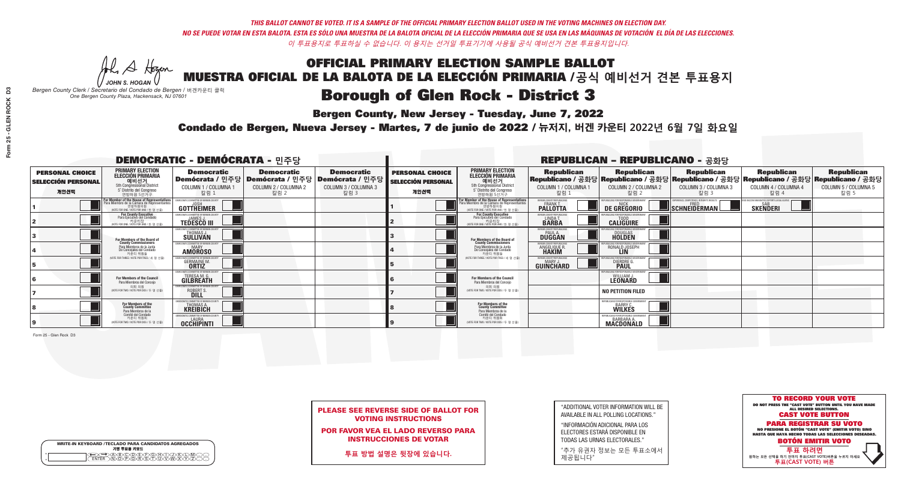**Bergen County, New Jersey - Tuesday, June 7, 2022** 

A Hogen *JOHN S. HOGAN*

| <b>WRITE-IN KEYBOARD /TECLADO PARA CANDIDATOS AGREGADOS</b><br>기명 투표용 키보드 |  |
|---------------------------------------------------------------------------|--|
| ABCOEFGAA                                                                 |  |

*Bergen County Clerk / Secretario del Condado de Bergen /* 버겐카운티 클럭 *One Bergen County Plaza, Hackensack, NJ 07601*



PLEASE SEE REVERSE SIDE OF BALLOT FOR VOTING INSTRUCTIONS

POR FAVOR VEA EL LADO REVERSO PARA INSTRUCCIONES DE VOTAR

**투표 방법 설명은 뒷장에 있습니다.**

"ADDITIONAL VOTER INFORMATION WILL BE AVAILABLE IN ALL POLLING LOCATIONS."

"INFORMACIÓN ADICIONAL PARA LOS ELECTORES ESTARÁ DISPONIBLE EN TODAS LAS URNAS ELECTORALES."

"추가 유권자 정보는 모든 투표소에서 제공됩니다"

Condado de Bergen, Nueva Jersey - Martes, 7 de junio de 2022 / 뉴저지, 버겐 카운티 2022년 6월 7일 화요일 *One Bergen County Plaza, Hackensack, NJ 07601*

|                                                             |                                                                                                                                             | <b>DEMOCRATIC - DEMÓCRATA - 민주당</b>                                           |                                                   |                                                                                                              | <b>REPUBLICAN - REPUBLICANO - 공화당</b>                       |                                                                                                                                                                   |                                                              |                                                            |                                                                                                                                                |                                                            |                                                   |
|-------------------------------------------------------------|---------------------------------------------------------------------------------------------------------------------------------------------|-------------------------------------------------------------------------------|---------------------------------------------------|--------------------------------------------------------------------------------------------------------------|-------------------------------------------------------------|-------------------------------------------------------------------------------------------------------------------------------------------------------------------|--------------------------------------------------------------|------------------------------------------------------------|------------------------------------------------------------------------------------------------------------------------------------------------|------------------------------------------------------------|---------------------------------------------------|
| <b>PERSONAL CHOICE</b><br><b>SELECCIÓN PERSONAL</b><br>개인선택 | <b>PRIMARY ELECTION</b><br><b>ELECCIÓN PRIMARIA</b><br>예비선거<br>5th Congressional District<br>5° Distrito del Congreso<br>연방하원 5선거구          | <b>Democratic</b><br>COLUMN 1 / COLUMNA<br>칼럼                                 | <b>Democratic</b><br>COLUMN 2 / COLUMNA 2<br>칼럼 2 | <b>Democratic</b><br>  Demócrata / 민주당   Demócrata / 민주당   Demócrata / 민주당  <br>COLUMN 3 / COLUMNA 3<br>칼럼 3 | <b>PERSONAL CHOICE</b><br><b>SELECCIÓN PERSONAL</b><br>개인선택 | <b>PRIMARY ELECTION</b><br>ELECCIÓN PRIMARIA<br>예비선거<br>5th Congressional District<br>5° Distrito del Congreso<br>연방하원 5선거구                                       | <b>Republican</b><br>COLUMN 1 / COLUMNA 1<br>칼럼              | <b>Republican</b><br>COLUMN 2 / COLUMNA 2<br>칼럼 2          | <b>Republican</b><br>Republicano / 공화당 Republicano / 공화당 Republicano / 공화당 Republicano / 공화당 Republicano / 공화당<br>COLUMN 3 / COLUMNA 3<br>칼럼 3 | <b>Republican</b><br>COLUMN 4 / COLUMNA 4<br>칼럼 4          | <b>Republican</b><br>COLUMN 5 / COLUMNA 5<br>칼럼 5 |
|                                                             | or Member of the House of Representatives<br>ara Miembro de la Cámara de Representantes<br>연방하원의원<br>(VOTE FOR ONE / VOTE POR UNO / 한 명 선출) | GOTTHEIMER                                                                    |                                                   |                                                                                                              |                                                             | .<br>F <mark>or Member of the House of Representative</mark> s<br>Para Miembro de la Cámara de Representantes<br>연방하원의원<br>(VOTE FOR ONE / VOTE POR UNO / 한 명 선출) | BERGEN COUNTY REPUBLICAN<br>FRANK T.<br><b>PALLOTTA</b>      | DE GREGORIO                                                | PERIENCE. COMPETENCE. INTEGRITY. RESULTS<br>$\blacksquare$ SCHNEIDERMAN                                                                        | VACCINE MANDATES, DEPORT ILLEGAL ALIENS<br><b>SKENDERI</b> |                                                   |
|                                                             | For County Executive<br>Para Ejecutivo del Condado<br>기운티장<br>(VOTE FOR ONE / VOTE POR UNO / 한 명 선출)                                        | EMOCRATIC COMMITTEE OF BERGEN COUNTY<br><b>TEDESCO III</b>                    |                                                   |                                                                                                              |                                                             | For County Executive<br>Para Ejecutivo del Condado<br>키운티장<br>(VOTE FOR ONE / VOTE POR UNO / 한 명 선출)                                                              | BERGEN COUNTY REPUBLICAN<br>LINDA T.<br><b>BARBA</b>         | <b>CALIGUIRE</b>                                           |                                                                                                                                                |                                                            |                                                   |
|                                                             | For Members of the Board of<br>County Commissioners                                                                                         | OCRATIC COMMITTEE OF BERGEN COUNTY<br>THOMAS J.                               |                                                   |                                                                                                              |                                                             | For Members of the Board of<br>County Commissioners                                                                                                               | ERGEN COUNTY REPUBLICAN<br><b>PAUL A.</b><br><b>DUGGAN</b>   | <b>DOUGLAS</b>                                             |                                                                                                                                                |                                                            |                                                   |
|                                                             | Para Miembros de la Junta<br>De Concejales del Condado<br>카운티 위원들                                                                           | OCRATIC COMMITTEE OF BERGEN COUNTY<br><b>MARY</b><br><b>AMOROSO</b>           |                                                   |                                                                                                              |                                                             | Para Miembros de la Junta<br>De Concejales del Condado<br>카우티 위원들                                                                                                 | <b>RGEN COUNTY REPUBLICAN</b><br>ANGELIQUE F<br><b>HAKIM</b> | RONALD JOSEPH                                              |                                                                                                                                                |                                                            |                                                   |
|                                                             | (VOTE FOR THREE / VOTE POR TRES / 세 명 선출                                                                                                    | AATIC COMMITTEE OF BERGEN COUN<br><b>GERMAINE M.</b><br><b>ORTIZ</b>          |                                                   |                                                                                                              |                                                             | (VOTE FOR THREE / VOTE POR TRES / 세 명 선출)                                                                                                                         | ERGEN COUNTY REPUBLICANS<br>MARY J<br>GUINCHARD              | S FOR RESPONSIBLE G<br>DIERDRE G                           |                                                                                                                                                |                                                            |                                                   |
|                                                             | For Members of the Council<br>Para Miembros del Conceio                                                                                     | IOCRATIC COMMITTEE OF BERGEN COUNT<br><b>TERESA M. G.</b><br><b>GILBREATH</b> |                                                   |                                                                                                              |                                                             | For Members of the Council<br>Para Miembros del Concejo                                                                                                           |                                                              | UBLICANS FOR RESPONSIBLE GOV<br><b>LEONARD</b>             |                                                                                                                                                |                                                            |                                                   |
|                                                             | 의회 의원<br>(VOTE FOR TWO / VOTE POR DOS / 두 명 선출)                                                                                             | MOCRATIC COMMITTEE OF BERGEN COUNTY<br>ROBERT S                               |                                                   |                                                                                                              |                                                             | 이히 이워<br>NOTE FOR TWO / VOTE POR DOS / 두 명 선출)                                                                                                                    |                                                              | <b>NO PETITION FILED</b>                                   |                                                                                                                                                |                                                            |                                                   |
|                                                             | For Members of the<br>County Committee<br>Para Miembros de la                                                                               | MOCRATIC COMMITTEE OF B<br>THOMAS A.                                          |                                                   |                                                                                                              |                                                             | For Members of the<br>County Committee<br>Para Miembros de la<br>Comité del Condado                                                                               |                                                              | REPUBLICANS FOR RESPONSIBLE G<br><b>WILKES</b>             |                                                                                                                                                |                                                            |                                                   |
| 19                                                          | Comité del Condado<br>카운티 위원회<br>(VOTE FOR TWO / VOTE POR DOS / 두 명 선출)                                                                     | LAURA<br>OCCHIPINTI                                                           |                                                   |                                                                                                              |                                                             | 카운티 위원회<br>(VOTE FOR TWO / VOTE POR DOS / 두 명 선출)                                                                                                                 |                                                              | REPUBLICANS FOR RESPONSIBLE<br><b>BARBARA</b><br>MACDONALD |                                                                                                                                                |                                                            |                                                   |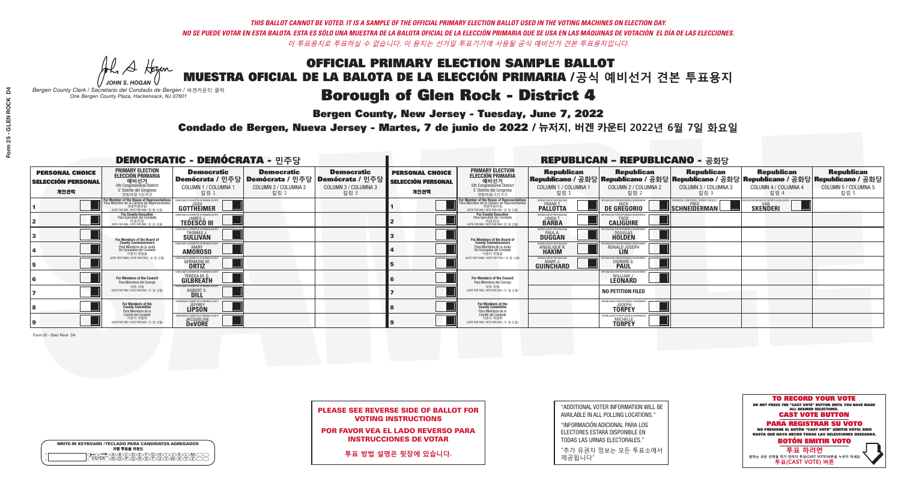**Bergen County, New Jersey - Tuesday, June 7, 2022** 

A Hogan *JOHN S. HOGAN*

|   | <b>WRITE-IN KEYBOARD /TECLADO PARA CANDIDATOS AGREGADOS</b><br>기명 투표용 키보드 |
|---|---------------------------------------------------------------------------|
| o | .)B)C)DE)F)G)H)                                                           |
| o | <u>እጅአል አል</u>                                                            |

*Bergen County Clerk / Secretario del Condado de Bergen /* 버겐카운티 클럭 *One Bergen County Plaza, Hackensack, NJ 07601*



PLEASE SEE REVERSE SIDE OF BALLOT FOR VOTING INSTRUCTIONS

POR FAVOR VEA EL LADO REVERSO PARA INSTRUCCIONES DE VOTAR

**투표 방법 설명은 뒷장에 있습니다.**

"ADDITIONAL VOTER INFORMATION WILL BE AVAILABLE IN ALL POLLING LOCATIONS."

"INFORMACIÓN ADICIONAL PARA LOS ELECTORES ESTARÁ DISPONIBLE EN TODAS LAS URNAS ELECTORALES."

"추가 유권자 정보는 모든 투표소에서 제공됩니다"

Condado de Bergen, Nueva Jersey - Martes, 7 de junio de 2022 / 뉴저지, 버겐 카운티 2022년 6월 7일 화요일 *One Bergen County Plaza, Hackensack, NJ 07601*

|                                                             |                                                                                                                                             | <b>DEMOCRATIC - DEMÓCRATA - 민주당</b>                                                         |                                                   |                                                                                                        | <b>REPUBLICAN - REPUBLICANO - 공화당</b>                       |                                                                                                                                               |                                                            |                                                                                                                                                |                                                   |                                                            |                                                   |
|-------------------------------------------------------------|---------------------------------------------------------------------------------------------------------------------------------------------|---------------------------------------------------------------------------------------------|---------------------------------------------------|--------------------------------------------------------------------------------------------------------|-------------------------------------------------------------|-----------------------------------------------------------------------------------------------------------------------------------------------|------------------------------------------------------------|------------------------------------------------------------------------------------------------------------------------------------------------|---------------------------------------------------|------------------------------------------------------------|---------------------------------------------------|
| <b>PERSONAL CHOICE</b><br><b>SELECCIÓN PERSONAL</b><br>개인선택 | <b>PRIMARY ELECTION</b><br><b>ELECCIÓN PRIMARIA</b><br>예비선거<br>5th Congressional District<br>5° Distrito del Congreso<br>연방하원 5선거구          | <b>Democratic</b><br><b>COLUMN 1 / COLUMNA</b><br>칼럼 :                                      | <b>Democratic</b><br>COLUMN 2 / COLUMNA 2<br>칼럼 2 | <b>Democratic</b><br>│Demócrata / 민주당│Demócrata / 민주당│Demócrata / 민주당┃<br>COLUMN 3 / COLUMNA 3<br>칼럼 3 | <b>PERSONAL CHOICE</b><br><b>SELECCIÓN PERSONAL</b><br>개인선택 | <b>PRIMARY ELECTION</b><br>ELECCIÓN PRIMARIA<br>예비선거<br>5th Congressional District<br>5° Distrito del Congreso<br>연방하원 5선거구                   | <b>Republican</b><br>COLUMN 1 / COLUMNA 1<br>칼럼.           | <b>Republican</b><br>Republicano / 공화당 Republicano / 공화당 Republicano / 공화당 Republicano / 공화당 Republicano / 공화당<br>COLUMN 2 / COLUMNA 2<br>칼럼 2 | <b>Republican</b><br>COLUMN 3 / COLUMNA 3<br>칼럼 3 | <b>Republican</b><br>COLUMN 4 / COLUMNA 4<br>칼럼 4          | <b>Republican</b><br>COLUMN 5 / COLUMNA 5<br>칼럼 5 |
|                                                             | or Member of the House of Representatives<br>ara Miembro de la Cámara de Representantes<br>연방하원의원<br>(VOTE FOR ONE / VOTE POR UNO / 한 명 선출) | GOTTHEIMER                                                                                  |                                                   |                                                                                                        |                                                             | For Member of the House of Representatives<br>Para Miembro de la Cámara de Representantes<br>연방하원의원<br>(WOTE FOR ONE / VOTE POR UNO / 한 명 선출) | BERGEN COUNTY REPUBLICANS<br>FRANK T.<br><b>PALLOTTA</b>   | DE GREGORIO                                                                                                                                    | SCHNEIDERMAN                                      | VACCINE MANDATES, DEPORT ILLEGAL ALIENS<br><b>SKENDERI</b> |                                                   |
|                                                             | For County Executive<br>Para Ejecutivo del Condado<br>기운티장<br>(VOTE FOR ONE / VOTE POR UNO / 한 명 선출)                                        | DEMOCRATIC COMMITTEE OF BERGEN COUNTY<br><b>TEDESCO III</b>                                 |                                                   |                                                                                                        |                                                             | For County Executive<br>Para Ejecutivo del Condado<br>7) 카운티장<br>(VOTE FOR ONE / VOTE POR UNO / 한 명 선출)                                       | BERGEN COUNTY REPUBLICAN<br>LINDA T.                       | <b>CALIGUIRE</b>                                                                                                                               |                                                   |                                                            |                                                   |
|                                                             | For Members of the Board of<br>County Commissioners                                                                                         | <b><i>MOCRATIC COMMITTEE OF BERGEN COUNTY</i></b><br>THOMAS J.                              |                                                   |                                                                                                        |                                                             | For Members of the Board of<br>County Commissioners                                                                                           | ERGEN COUNTY REPUBLICAN<br><b>PAUL A.</b><br><b>DUGGAN</b> | DOUGLAS<br>HOLDEN                                                                                                                              |                                                   |                                                            |                                                   |
|                                                             | Para Miembros de la Junta<br>De Concejales del Condado<br>카운티 위원들                                                                           | <b><i>MOCRATIC COMMITTEE OF BERGEN COUNTY</i></b><br><b>MARY</b><br><b>AMOROSO</b>          |                                                   |                                                                                                        |                                                             | Para Miembros de la Junta<br>De Concejales del Condado<br>카우티 위원들                                                                             | <b>RGEN COUNTY REPUBLICAN</b><br>ANGELIQUE R               | RONALD JOSEPH                                                                                                                                  |                                                   |                                                            |                                                   |
|                                                             | (VOTE FOR THREE / VOTE POR TRES / 세 명 선출                                                                                                    | RATIC COMMITTEE OF BERGEN COUN'<br><b>GERMAINE M.</b><br><b>ORTIZ</b>                       |                                                   |                                                                                                        |                                                             | NOTE FOR THREE / VOTE POR TRES / 세 명 선출                                                                                                       | BERGEN COUNTY REPUBLICANS<br>MARY J.<br>GUINCHARD          | FOR RESPONSIBLE GO<br>DIERDRE <sup>(1</sup>                                                                                                    |                                                   |                                                            |                                                   |
|                                                             | For Members of the Council<br>Para Miembros del Conceio                                                                                     | <b><i>AOCRATIC COMMITTEE OF BERGEN COUNT</i></b><br><b>TERESA M. G.</b><br><b>GILBREATH</b> |                                                   |                                                                                                        |                                                             | <b>For Members of the Council</b><br>Para Miembros del Conceio                                                                                |                                                            | JBLICANS FOR RESPONSIBLE GOVI<br>WILLIAM J.<br><b>LEONARD</b>                                                                                  |                                                   |                                                            |                                                   |
|                                                             | 의회 의원<br>(VOTE FOR TWO / VOTE POR DOS / 두 명 선출)                                                                                             | EMOCRATIC COMMITTEE OF BERGEN COUNTY<br>ROBERT S                                            |                                                   |                                                                                                        |                                                             | 의회 의원<br>(VOTE FOR TWO / VOTE POR DOS / 두 명 선출)                                                                                               |                                                            | <b>NO PETITION FILED</b>                                                                                                                       |                                                   |                                                            |                                                   |
|                                                             | For Members of the<br>County Committee<br>Para Miembros de la                                                                               | MOCRATIC COMMITTEE OF REF<br><b>LIPSON</b>                                                  |                                                   |                                                                                                        |                                                             | For Members of the<br>County Committee<br>Para Miembros de la<br>Comité del Condado                                                           |                                                            | REPUBLICANS FOR RESPONSIBLE GI<br><b>TÖRPEY</b>                                                                                                |                                                   |                                                            |                                                   |
|                                                             | Comité del Condado<br>카운티 위원회<br>(VOTE FOR TWO / VOTE POR DOS / 두 명 선출)                                                                     | <b>EMOCRATIC COMMITTEE OF RERGEN</b><br><b>JACQUELINE</b>                                   |                                                   |                                                                                                        |                                                             | 카운티 위원회<br>(VOTE FOR TWO / VOTE POR DOS / 두 명 선출)                                                                                             |                                                            | REPUBLICANS FOR RESPONSIBLE G<br>MICHELL<br><b>TORPEY</b>                                                                                      |                                                   |                                                            |                                                   |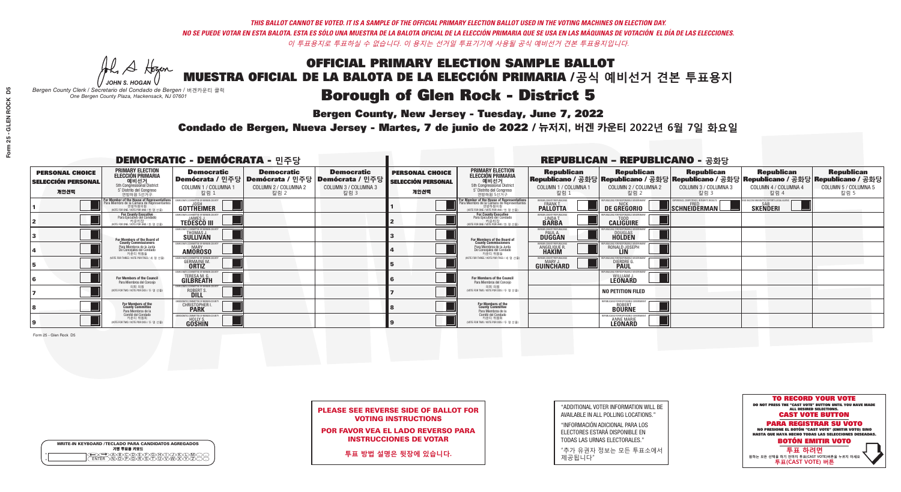**Bergen County, New Jersey - Tuesday, June 7, 2022** 

A Hogen *JOHN S. HOGAN*

| <b>WRITE-IN KEYBOARD /TECLADO PARA CANDIDATOS AGREGADOS</b><br>기명 투표용 키보드 |  |
|---------------------------------------------------------------------------|--|
| VBCODE/F/G/F/D/<br><b>DÕÃÃÃÃ</b>                                          |  |

*Bergen County Clerk / Secretario del Condado de Bergen /* 버겐카운티 클럭 *One Bergen County Plaza, Hackensack, NJ 07601*



PLEASE SEE REVERSE SIDE OF BALLOT FOR VOTING INSTRUCTIONS

POR FAVOR VEA EL LADO REVERSO PARA INSTRUCCIONES DE VOTAR

**투표 방법 설명은 뒷장에 있습니다.**

"ADDITIONAL VOTER INFORMATION WILL BE AVAILABLE IN ALL POLLING LOCATIONS."

"INFORMACIÓN ADICIONAL PARA LOS ELECTORES ESTARÁ DISPONIBLE EN TODAS LAS URNAS ELECTORALES."

"추가 유권자 정보는 모든 투표소에서 제공됩니다"

Condado de Bergen, Nueva Jersey - Martes, 7 de junio de 2022 / 뉴저지, 버겐 카운티 2022년 6월 7일 화요일 *One Bergen County Plaza, Hackensack, NJ 07601*

|                                                             |                                                                                                                                           | <b>DEMOCRATIC - DEMÓCRATA - 민주당</b>                                          |                                                   |                                                                                                        |                                                             |                                                                                                                                   |                                                               | <b>REPUBLICAN - REPUBLICANO - 공화당</b>                                                                                                          |                                                                      |                                                           |                                                   |
|-------------------------------------------------------------|-------------------------------------------------------------------------------------------------------------------------------------------|------------------------------------------------------------------------------|---------------------------------------------------|--------------------------------------------------------------------------------------------------------|-------------------------------------------------------------|-----------------------------------------------------------------------------------------------------------------------------------|---------------------------------------------------------------|------------------------------------------------------------------------------------------------------------------------------------------------|----------------------------------------------------------------------|-----------------------------------------------------------|---------------------------------------------------|
| <b>PERSONAL CHOICE</b><br><b>SELECCIÓN PERSONAL</b><br>개인선택 | <b>PRIMARY ELECTION</b><br><b>ELECCIÓN PRIMARIA</b><br>예비선거<br>5th Congressional District<br>5° Distrito del Congreso<br>연방하원 5선거구        | <b>Democratic</b><br>COLUMN 1 / COLUMNA 1<br>칼럼 1                            | <b>Democratic</b><br>COLUMN 2 / COLUMNA 2<br>칼럼 2 | <b>Democratic</b><br>│Demócrata / 민주당│Demócrata / 민주당│Demócrata / 민주당│<br>COLUMN 3 / COLUMNA 3<br>칼럼 3 | <b>PERSONAL CHOICE</b><br><b>SELECCIÓN PERSONAL</b><br>개인선택 | <b>PRIMARY ELECTION</b><br>ELECCIÓN PRIMARIA<br>예비선거<br>5th Congressional District<br>5° Distrito del Congreso<br>연방하원 5선거구       | <b>Republican</b><br>COLUMN 1 / COLUMNA 1<br>칼럼               | <b>Republican</b><br>Republicano / 공화당 Republicano / 공화당 Republicano / 공화당 Republicano / 공화당 Republicano / 공화당<br>COLUMN 2 / COLUMNA 2<br>칼럼 2 | <b>Republican</b><br>COLUMN 3 / COLUMNA 3<br>칼럼 3                    | <b>Republican</b><br>COLUMN 4 / COLUMNA 4<br>칼럼 4         | <b>Republican</b><br>COLUMN 5 / COLUMNA 5<br>칼럼 5 |
|                                                             | For Member of the House of Representatives<br>a Miembro de la Cámara de Representante<br>연방하원의원<br>(VOTE FOR ONE / VOTE POR UNO / 한 명 선출) | EMOCRATIC COMMITTEE OF BERGEN CO<br>GOTTHEIMER                               |                                                   |                                                                                                        |                                                             | For Member of the House of Representatives<br>Para Miembro de la Cámara de Representantes<br>WOTE FOR ONE / VOTE POR UNO / 한 명 선출 | ERGEN COUNTY REPUBLICAN<br><b>FRANK T.</b><br><b>PALLOTTA</b> | DE GREGORIO                                                                                                                                    | RIENCE. COMPETENCE. INTEGRITY. RESULT<br>$\blacksquare$ SCHNEIDERMAN | VACCINE MANDATES, DEPORT ILLEGAL ALIEN<br><b>SKENDERI</b> |                                                   |
|                                                             | <b>For County Executive</b><br>Para Ejecutivo del Condado<br>(VOTE FOR ONE / VOTE POR UNO / 한 명 선출)                                       | FMOCRATIC COMMITTEE OF BERGEN COUNTY<br><b>TEDESCO III</b>                   |                                                   |                                                                                                        |                                                             | <b>For County Executive</b><br>Para Ejecutivo del Condado<br>카운티장<br>(VOTE FOR ONE / VOTE POR UNO / 한 명 선출                        | BERGEN COUNTY REPUBLICAN<br>LINDAT.                           | <b>CALIGUIRE</b>                                                                                                                               |                                                                      |                                                           |                                                   |
|                                                             | For Members of the Board of<br>County Commissioners                                                                                       | MOCRATIC COMMITTEE OF BERGEN COUNTY<br>THOMAS J.                             |                                                   |                                                                                                        |                                                             | For Members of the Board of<br>County Commissioners                                                                               | ERGEN COUNTY REPUBLICAN<br><b>PAUL A.</b><br><b>DUGGAN</b>    | <b>DOUGLAS</b>                                                                                                                                 |                                                                      |                                                           |                                                   |
|                                                             | Para Miembros de la Junta<br>De Concejales del Condado<br>카운티 위원들                                                                         | MOCRATIC COMMITTEE OF BERGEN COUNTY<br><b>AMOROSO</b>                        |                                                   |                                                                                                        |                                                             | Para Miembros de la Junta<br>De Concejales del Condado<br>카우티 위원들                                                                 | ERGEN COUNTY REPUBLICAN<br>ANGELIQUE R                        | RONALD JOSEPH                                                                                                                                  |                                                                      |                                                           |                                                   |
|                                                             | (VOTE FOR THREE / VOTE POR TRES / 세 명 선출)                                                                                                 | CRATIC COMMITTEE OF BERGEN COUNT<br><b>GERMAINE M.</b><br><b>ORTIZ</b>       |                                                   |                                                                                                        |                                                             | NOTE FOR THREE / VOTE POR TRES / 세 명 선출)                                                                                          | ERGEN COUNTY REPUBLICANS<br>MARY J.<br>GUINCHARD              | <b>DIERDRE</b>                                                                                                                                 |                                                                      |                                                           |                                                   |
|                                                             | <b>For Members of the Council</b><br>Para Miembros del Conceio                                                                            | MOCRATIC COMMITTEE OF BERGEN COUN<br><b>TERESA M. G.</b><br><b>GILBREATH</b> |                                                   |                                                                                                        |                                                             | <b>For Members of the Council</b><br>Para Miembros del Conceio                                                                    |                                                               | S FOR RESPONSIBLE GO<br>WILLIAM J.<br>LEONARD                                                                                                  |                                                                      |                                                           |                                                   |
|                                                             | 의회 의원<br>(VOTE FOR TWO / VOTE POR DOS / 두 명 선출)                                                                                           | EMOCRATIC COMMITTEE OF BERGEN COUNTY<br>ROBERT S                             |                                                   |                                                                                                        |                                                             | 의회 의원<br>(VOTE FOR TWO / VOTE POR DOS / 두 명 선출)                                                                                   |                                                               | <b>NO PETITION FILED</b>                                                                                                                       |                                                                      |                                                           |                                                   |
|                                                             | For Members of the<br>County Committee<br>Para Miembros de la                                                                             | MOCRATIC COMMITTEE OF BE<br><b>CHRISTOPHER</b>                               |                                                   |                                                                                                        |                                                             | For Members of the<br>County Committee<br>Para Miembros de la<br>Comité del Condado                                               |                                                               | <b>BOURNE</b>                                                                                                                                  |                                                                      |                                                           |                                                   |
|                                                             | Comité del Condado<br>카운티 위원회<br>NOTE FOR TWO / VOTE POR DOS / 두 명 선출)                                                                    | <b>EMOCRATIC COMMITTEE OF BERGEN CI</b><br><b>GOSHIN</b>                     |                                                   |                                                                                                        |                                                             | 카운티 위원회<br>NOTE FOR TWO / VOTE POR DOS / 두 명 선출)                                                                                  |                                                               | FPHRI ICANS FOR RESPONSIBLE<br><b>ANNE MARIE</b>                                                                                               |                                                                      |                                                           |                                                   |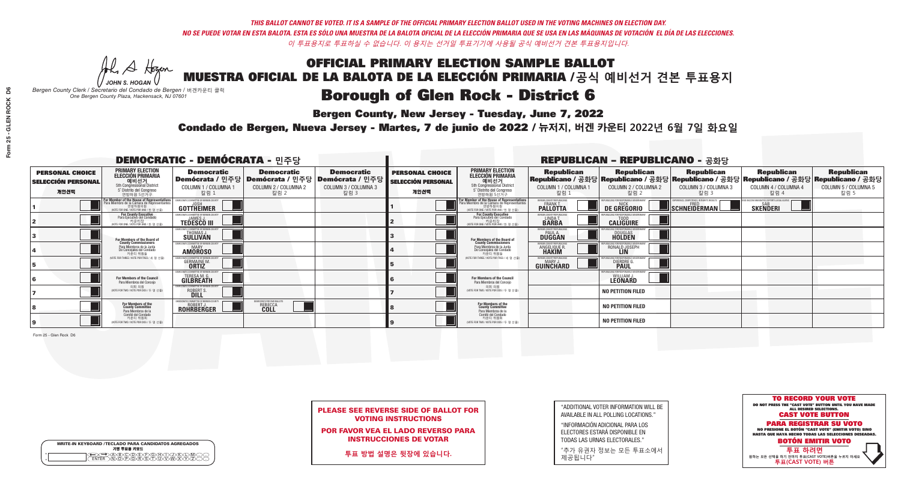**Bergen County, New Jersey - Tuesday, June 7, 2022** 

A Hogan *JOHN S. HOGAN*

| <b>WRITE-IN KEYBOARD /TECLADO PARA CANDIDATOS AGREGADOS</b><br>기명 투표용 키보드 |
|---------------------------------------------------------------------------|
|                                                                           |

*Bergen County Clerk / Secretario del Condado de Bergen /* 버겐카운티 클럭 *One Bergen County Plaza, Hackensack, NJ 07601*

Condado de Bergen, Nueva Jersey - Martes, 7 de junio de 2022 / 뉴저지, 버겐 카운티 2022년 6월 7일 화요일 *One Bergen County Plaza, Hackensack, NJ 07601*



PLEASE SEE REVERSE SIDE OF BALLOT FOR VOTING INSTRUCTIONS

POR FAVOR VEA EL LADO REVERSO PARA INSTRUCCIONES DE VOTAR

**투표 방법 설명은 뒷장에 있습니다.**

"ADDITIONAL VOTER INFORMATION WILL BE AVAILABLE IN ALL POLLING LOCATIONS."

"INFORMACIÓN ADICIONAL PARA LOS ELECTORES ESTARÁ DISPONIBLE EN TODAS LAS URNAS ELECTORALES."

"추가 유권자 정보는 모든 투표소에서 제공됩니다"

|                                                             |                                                                                                                                               | <b>DEMOCRATIC - DEMÓCRATA - 민주당</b>                                            |                                                   |                                                                                                        |                                                             | <b>REPUBLICAN - REPUBLICANO - 공화당</b>                                                                                                         |                                                            |                                                                                                                                                |                                                   |                                                   |                                                   |  |
|-------------------------------------------------------------|-----------------------------------------------------------------------------------------------------------------------------------------------|--------------------------------------------------------------------------------|---------------------------------------------------|--------------------------------------------------------------------------------------------------------|-------------------------------------------------------------|-----------------------------------------------------------------------------------------------------------------------------------------------|------------------------------------------------------------|------------------------------------------------------------------------------------------------------------------------------------------------|---------------------------------------------------|---------------------------------------------------|---------------------------------------------------|--|
| <b>PERSONAL CHOICE</b><br><b>SELECCIÓN PERSONAL</b><br>개인선택 | <b>PRIMARY ELECTION</b><br><b>ELECCIÓN PRIMARIA</b><br>예비선거<br><sup>5th Congressional District</sup><br>5° Distrito del Congreso<br>연방하원 5선거구 | <b>Democratic</b><br>COLUMN 1 / COLUMNA 1<br>칼럼 :                              | <b>Democratic</b><br>COLUMN 2 / COLUMNA 2<br>칼럼 2 | <b>Democratic</b><br>│Demócrata / 민주당│Demócrata / 민주당│Demócrata / 민주당│<br>COLUMN 3 / COLUMNA 3<br>칼럼 3 | <b>PERSONAL CHOICE</b><br><b>SELECCIÓN PERSONAL</b><br>개인선택 | <b>PRIMARY ELECTION</b><br>ELECCIÓN PRIMARIA<br>예비선거<br>5th Congressional District<br>5° Distrito del Congreso<br>연방하원 5선거구                   | <b>Republican</b><br>COLUMN 1 / COLUMNA 1<br>칼럼            | <b>Republican</b><br>Republicano / 공화당 Republicano / 공화당 Republicano / 공화당 Republicano / 공화당 Republicano / 공화당<br>COLUMN 2 / COLUMNA 2<br>칼럼 2 | <b>Republican</b><br>COLUMN 3 / COLUMNA 3<br>칼럼 3 | <b>Republican</b><br>COLUMN 4 / COLUMNA 4<br>칼럼 4 | <b>Republican</b><br>COLUMN 5 / COLUMNA 5<br>칼럼 5 |  |
|                                                             | or Member of the House of Representatives<br>ara Miembro de la Cámara de Representantes<br>연방하원의원<br>(VOTE FOR ONE / VOTE POR UNO / 한 명 선출    | DEMOCRATIC COMMITTEE OF BERGEN COUNTY<br>JOSH<br><b>GOTTHEIMER</b>             |                                                   |                                                                                                        |                                                             | For Member of the House of Representatives<br>Para Miembro de la Cámara de Representantes<br>연방하원의원<br>(VOTE FOR ONE / VOTE POR UNO / 한 명 선출) | BERGEN COUNTY REPUBLICANS<br>FRANK T.<br><b>PALLOTTA</b>   | DE GREGORIO                                                                                                                                    | SCHNEIDERMAN                                      | <b>SKENDERI</b>                                   |                                                   |  |
|                                                             | <b>For County Executive</b><br>Para Ejecutivo del Condado<br>가운티장<br>(VOTE FOR ONE / VOTE POR UNO / 한 명 선출)                                   | EMOCRATIC COMMITTEE OF BERGEN COUNT<br><b>TEDESCO III</b>                      |                                                   |                                                                                                        |                                                             | <b>For County Executive</b><br>Para Ejecutivo del Condado<br>WOTE FOR ONE / VOTE POR UNO / 한 명 선출)                                            | BERGEN COUNTY REPUBLICAN<br>LINDA T.                       | <b>CALIGUIRE</b>                                                                                                                               |                                                   |                                                   |                                                   |  |
|                                                             | <b>For Members of the Board of<br/>County Commissioners</b>                                                                                   | MOCRATIC COMMITTEE OF BERGEN COUNT<br>THOMAS J.                                |                                                   |                                                                                                        |                                                             | For Members of the Board of<br>County Commissioners                                                                                           | ERGEN COUNTY REPUBLICAN<br><b>PAUL A.</b><br><b>DUGGAN</b> | <b>DOUGLAS</b>                                                                                                                                 |                                                   |                                                   |                                                   |  |
|                                                             | Para Miembros de la Junta<br>De Concejales del Condado<br>카운티 위원들                                                                             | EMOCRATIC COMMITTEE OF BERGEN COUNTY<br><b>AMOROSO</b>                         |                                                   |                                                                                                        |                                                             | Para Miembros de la Junta<br>De Concejales del Condado<br>카우티 위원들                                                                             | ERGEN COUNTY REPUBLICAN<br>ANGELIQUE R                     | RONALD JOSEPH<br><b>LIN</b>                                                                                                                    |                                                   |                                                   |                                                   |  |
|                                                             | (VOTE FOR THREE / VOTE POR TRES / 세 명 선출)                                                                                                     | ATIC COMMITTEE OF BEBGEN COUNT<br><b>GERMAINE M.</b>                           |                                                   |                                                                                                        |                                                             | NOTE FOR THREE / VOTE POR TRES / 세 명 선출)                                                                                                      | ERGEN COUNTY REPUBLICANS<br>MARY J<br>GUINCHARD            | <b>DIERDRE</b> (                                                                                                                               |                                                   |                                                   |                                                   |  |
|                                                             | For Members of the Council<br>Para Miembros del Conceio                                                                                       | MOCRATIC COMMITTEE OF BERGEN COUNTY<br><b>TERESA M. G.</b><br><b>GILBREATH</b> |                                                   |                                                                                                        |                                                             | For Members of the Council<br>Para Miembros del Conceio                                                                                       |                                                            | UBLICANS FOR RESPONSIBLE GOVE<br>WILLIAM J.                                                                                                    |                                                   |                                                   |                                                   |  |
|                                                             | 의회 의원<br>(VOTE FOR TWO / VOTE POR DOS / 두 명 선출)                                                                                               | MOCRATIC COMMITTEE OF BERGEN COUNTY<br>ROBERT S                                |                                                   |                                                                                                        |                                                             | 의회 의원<br>NOTE FOR TWO / VOTE POR DOS / 두 명 선출)                                                                                                |                                                            | <b>NO PETITION FILED</b>                                                                                                                       |                                                   |                                                   |                                                   |  |
|                                                             | For Members of the<br>County Committee<br>Para Miembros de la<br>Comité del Condado                                                           | EMOCRATIC COMMITTEE OF BERGEN COUNTY<br><b>ROHRBERGER</b>                      | <b>EMOCRATS FOR FAIR BALLOT</b><br>REBECCA        |                                                                                                        |                                                             | For Members of the<br>County Committee<br>Para Miembros de la<br>Comité del Condado                                                           |                                                            | <b>NO PETITION FILED</b>                                                                                                                       |                                                   |                                                   |                                                   |  |
|                                                             | 카운티 위원회<br>(VOTE FOR TWO / VOTE POR DOS / 두 명 선출)                                                                                             |                                                                                |                                                   |                                                                                                        |                                                             | 카운티 위원회<br>NOTE FOR TWO / VOTE POR DOS / 두 명 선출)                                                                                              |                                                            | <b>NO PETITION FILED</b>                                                                                                                       |                                                   |                                                   |                                                   |  |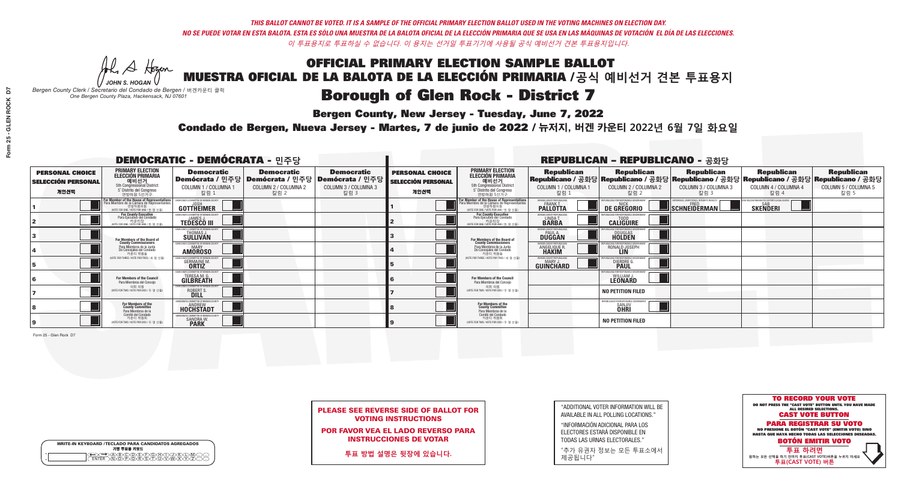**Bergen County, New Jersey - Tuesday, June 7, 2022** 

A Hogen *JOHN S. HOGAN*

| <b>WRITE-IN KEYBOARD /TECLADO PARA CANDIDATOS AGREGADOS</b><br>기명 투표용 키보드 |  |
|---------------------------------------------------------------------------|--|
| <b>BOODERBORK</b><br><u>NEVEVEVE</u>                                      |  |

*Bergen County Clerk / Secretario del Condado de Bergen /* 버겐카운티 클럭 *One Bergen County Plaza, Hackensack, NJ 07601*



PLEASE SEE REVERSE SIDE OF BALLOT FOR VOTING INSTRUCTIONS

POR FAVOR VEA EL LADO REVERSO PARA INSTRUCCIONES DE VOTAR

**투표 방법 설명은 뒷장에 있습니다.**

| "ADDITIONAL VOTER INFORMATION WILL BE |
|---------------------------------------|
| AVAILABLE IN ALL POLLING LOCATIONS."  |

"INFORMACIÓN ADICIONAL PARA LOS ELECTORES ESTARÁ DISPONIBLE EN TODAS LAS URNAS ELECTORALES."

"추가 유권자 정보는 모든 투표소에서 제공됩니다"

Condado de Bergen, Nueva Jersey - Martes, 7 de junio de 2022 / 뉴저지, 버겐 카운티 2022년 6월 7일 화요일 *One Bergen County Plaza, Hackensack, NJ 07601*

| <b>DEMOCRATIC - DEMÓCRATA - 민주당</b>                         |                                                                                                                                           |                                                                                        |                                                   |                                                                                                        | <b>REPUBLICAN - REPUBLICANO - 공화당</b>                       |                                                                                                                                   |                                                            |                                                                        |                                                                                                                                                |                                                           |                                                   |
|-------------------------------------------------------------|-------------------------------------------------------------------------------------------------------------------------------------------|----------------------------------------------------------------------------------------|---------------------------------------------------|--------------------------------------------------------------------------------------------------------|-------------------------------------------------------------|-----------------------------------------------------------------------------------------------------------------------------------|------------------------------------------------------------|------------------------------------------------------------------------|------------------------------------------------------------------------------------------------------------------------------------------------|-----------------------------------------------------------|---------------------------------------------------|
| <b>PERSONAL CHOICE</b><br><b>SELECCIÓN PERSONAL</b><br>개인선택 | <b>PRIMARY ELECTION</b><br><b>ELECCIÓN PRIMARIA</b><br>예비선거<br>5th Congressional District<br>5° Distrito del Congreso<br>연방하원 5선거구        | <b>Democratic</b><br>COLUMN 1 / COLUMNA 1<br>칼럼 1                                      | <b>Democratic</b><br>COLUMN 2 / COLUMNA 2<br>칼럼 2 | <b>Democratic</b><br>│Demócrata / 민주당│Demócrata / 민주당│Demócrata / 민주당│<br>COLUMN 3 / COLUMNA 3<br>칼럼 3 | <b>PERSONAL CHOICE</b><br><b>SELECCIÓN PERSONAL</b><br>개인선택 | <b>PRIMARY ELECTION</b><br>ELECCIÓN PRIMARIA<br>5th Congressional District<br>5° Distrito del Congreso<br>연방하워 5선거구               | <b>Republican</b><br>COLUMN 1 / COLUMNA 1<br>칼럼            | <b>Republican</b><br>COLUMN 2 / COLUMNA 2<br>참렴 )                      | <b>Republican</b><br>Republicano / 공화당 Republicano / 공화당 Republicano / 공화당 Republicano / 공화당 Republicano / 공화당<br>COLUMN 3 / COLUMNA 3<br>칼럼 3 | <b>Republican</b><br>COLUMN 4 / COLUMNA 4<br>칼럼 4         | <b>Republican</b><br>COLUMN 5 / COLUMNA 5<br>칼럼 5 |
|                                                             | For Member of the House of Representatives<br>a Miembro de la Cámara de Representante<br>연방하원의원<br>(VOTE FOR ONE / VOTE POR UNO / 한 명 선출) | EMOCRATIC COMMITTEE OF BERGEN COUNT<br>GOTTHEIMER                                      |                                                   |                                                                                                        |                                                             | For Member of the House of Representatives<br>Para Miembro de la Cámara de Representantes<br>WOTE FOR ONE / VOTE POR UNO / 한 명 선출 | ERGEN COUNTY REPUBLICAN<br><b>PALLOTTA</b>                 | DE GREGORIO                                                            | $\blacksquare$ Schneiderman $\mathbin{\mathsf{I}}$                                                                                             | /ACCINE MANDATES. DEPORT ILLEGAL ALIEN<br><b>SKENDERI</b> |                                                   |
|                                                             | <b>For County Executive</b><br>Para Ejecutivo del Condado<br>WOTE FOR ONE / VOTE POR UNO / 한 명 선출                                         | <b>FMOCRATIC COMMITTEE OF BERGEN COUNTY</b><br><b>TEDESCO III</b>                      |                                                   |                                                                                                        |                                                             | For County Executive<br>Para Ejecutivo del Condado<br>WOTE FOR ONE / VOTE POR UNO / 한 명 선출                                        | BERGEN COUNTY REPUBLICAN<br>LINDA T.                       | <b>CALIGUIRE</b>                                                       |                                                                                                                                                |                                                           |                                                   |
|                                                             | For Members of the Board of<br>County Commissioners                                                                                       | EMOCRATIC COMMITTEE OF BERGEN COUNT<br>THOMAS J.                                       |                                                   |                                                                                                        |                                                             | For Members of the Board of<br>County Commissioners                                                                               | ERGEN COUNTY REPUBLICAN<br><b>PAUL A.</b><br><b>DUGGAN</b> | <b>DOUGLAS</b>                                                         |                                                                                                                                                |                                                           |                                                   |
|                                                             | Para Miembros de la Junta<br>De Concejales del Condado<br>카운티 위원들                                                                         | EMOCRATIC COMMITTEE OF BERGEN COUNTY<br><b>MARY</b><br><b>AMOROSO</b>                  |                                                   |                                                                                                        |                                                             | Para Miembros de la Junta<br>De Concejales del Condado<br>카운티 위원들                                                                 | ERGEN COUNTY REPUBLICAN<br><b>ANGELIQUE R<br/>HAKIM</b>    | RONALD JOSEPH<br><b>LIN</b>                                            |                                                                                                                                                |                                                           |                                                   |
|                                                             | NOTE FOR THREE / VOTE POR TRES / 세 명 선출)                                                                                                  | OCRATIC COMMITTEE OF BERGEN COUNT'<br><b>GERMAINE M.</b>                               |                                                   |                                                                                                        |                                                             | NOTE FOR THREE / VOTE POR TRES / 세 명 선출)                                                                                          | ERGEN COUNTY REPUBLICANS<br>MARY.<br>GUINCHARD             | LICANS FOR RESPONSIBLE<br><b>DIERDRE</b>                               |                                                                                                                                                |                                                           |                                                   |
|                                                             | <b>For Members of the Council</b><br>Para Miembros del Conceio                                                                            | <b>EMOCRATIC COMMITTEE OF BERGEN COUNTY</b><br><b>TERESA M. G.</b><br><b>GILBREATH</b> |                                                   |                                                                                                        |                                                             | <b>For Members of the Council</b><br>Para Miembros del Conceio                                                                    |                                                            | PUBLICANS FOR RESPONSIBLE GO<br>WILLIAM J.<br>LEONARD                  |                                                                                                                                                |                                                           |                                                   |
|                                                             | 의회 의원<br>(VOTE FOR TWO / VOTE POR DOS / 두 명 선출)                                                                                           | EMOCRATIC COMMITTEE OF BERGEN COUNTY<br>ROBERT S                                       |                                                   |                                                                                                        |                                                             | 의회 의원<br>WOTE FOR TWO / VOTE POR DOS / 두 명 선출)                                                                                    |                                                            | <b>NO PETITION FILED</b>                                               |                                                                                                                                                |                                                           |                                                   |
|                                                             | For Members of the<br>County Committee<br>Para Miembros de la                                                                             | MOCRATIC COMMITTEE OF BERGEN COUNTY:<br><b>HOCHSTADT</b>                               |                                                   |                                                                                                        |                                                             | For Members of the<br>County Committee<br>Para Miembros de la<br>Comité del Condado                                               |                                                            | REPUBLICANS FOR RESPONSIBLE GOVERNMENT<br><b>SANJIV</b><br><b>OHRI</b> |                                                                                                                                                |                                                           |                                                   |
|                                                             | Comité del Condado<br>카운티 위원회<br>(VOTE FOR TWO / VOTE POR DOS / 두 명 선출)                                                                   | <b>EMOCRATIC COMMITTEE OF BERGEN COUNT</b><br>SANDRA W.<br><b>PARK</b>                 |                                                   |                                                                                                        |                                                             | 카운티 위원회<br>(VOTE FOR TWO / VOTE POR DOS / 두 명 선출)                                                                                 |                                                            | <b>NO PETITION FILED</b>                                               |                                                                                                                                                |                                                           |                                                   |